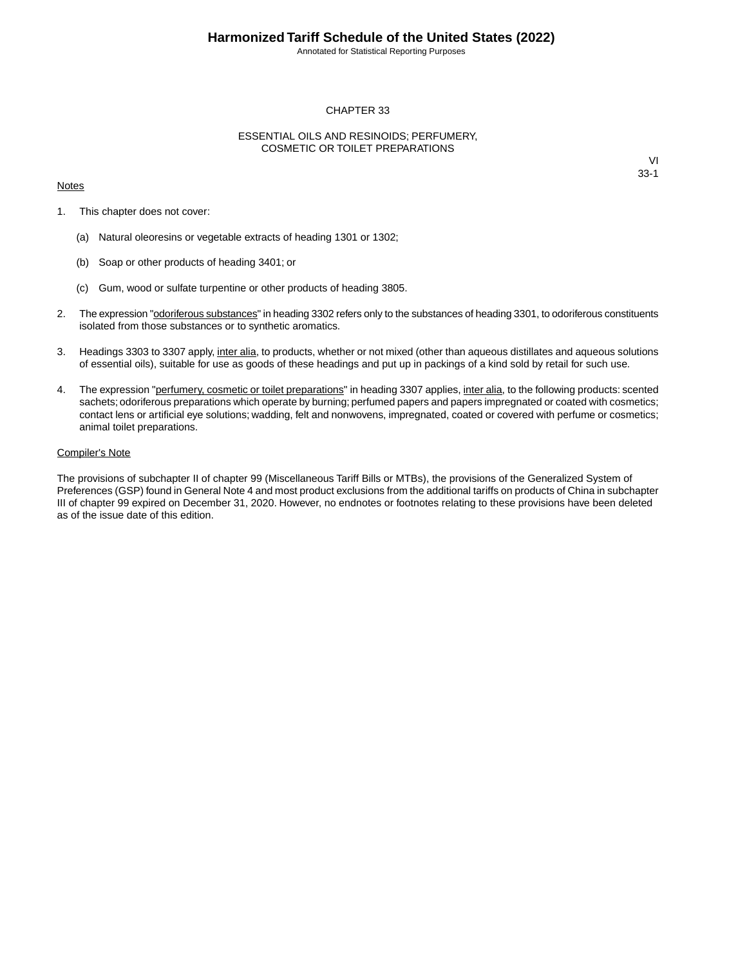Annotated for Statistical Reporting Purposes

### CHAPTER 33

#### ESSENTIAL OILS AND RESINOIDS; PERFUMERY, COSMETIC OR TOILET PREPARATIONS

#### **Notes**

VI 33-1

- 1. This chapter does not cover:
	- (a) Natural oleoresins or vegetable extracts of heading 1301 or 1302;
	- (b) Soap or other products of heading 3401; or
	- (c) Gum, wood or sulfate turpentine or other products of heading 3805.
- 2. The expression "odoriferous substances" in heading 3302 refers only to the substances of heading 3301, to odoriferous constituents isolated from those substances or to synthetic aromatics.
- 3. Headings 3303 to 3307 apply, inter alia, to products, whether or not mixed (other than aqueous distillates and aqueous solutions of essential oils), suitable for use as goods of these headings and put up in packings of a kind sold by retail for such use.
- 4. The expression "perfumery, cosmetic or toilet preparations" in heading 3307 applies, inter alia, to the following products: scented sachets; odoriferous preparations which operate by burning; perfumed papers and papers impregnated or coated with cosmetics; contact lens or artificial eye solutions; wadding, felt and nonwovens, impregnated, coated or covered with perfume or cosmetics; animal toilet preparations.

#### Compiler's Note

The provisions of subchapter II of chapter 99 (Miscellaneous Tariff Bills or MTBs), the provisions of the Generalized System of Preferences (GSP) found in General Note 4 and most product exclusions from the additional tariffs on products of China in subchapter III of chapter 99 expired on December 31, 2020. However, no endnotes or footnotes relating to these provisions have been deleted as of the issue date of this edition.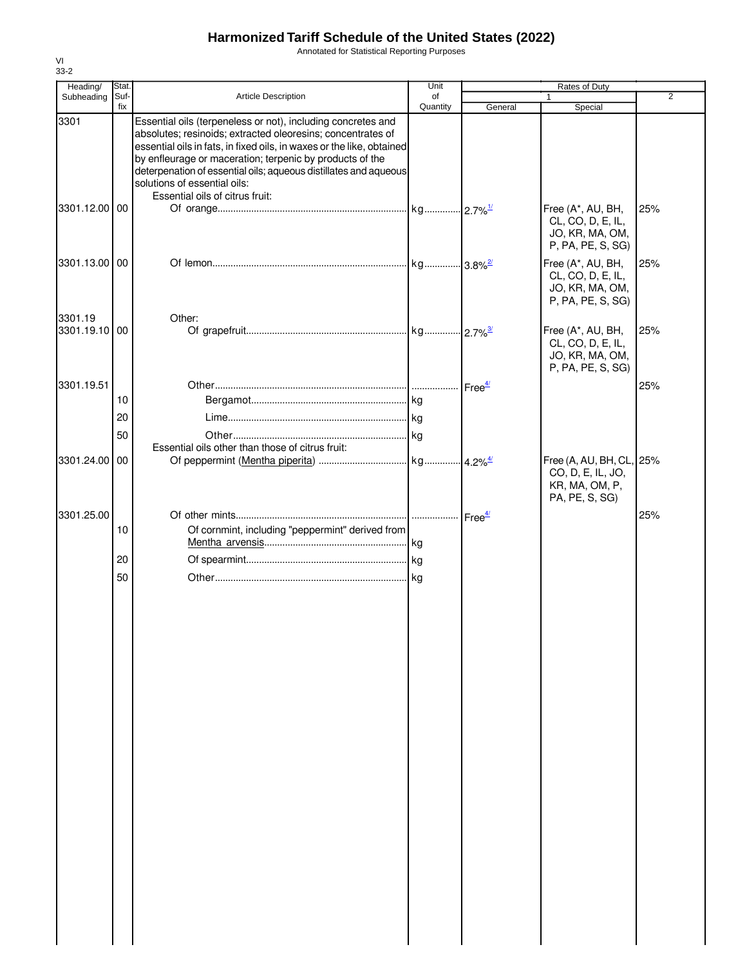Annotated for Statistical Reporting Purposes

| Stat.          |                                                                                                                                                                                                                         | Unit                                                                                                              |                                                                                                                                                                                                           | Rates of Duty                                                                  |                                                          |
|----------------|-------------------------------------------------------------------------------------------------------------------------------------------------------------------------------------------------------------------------|-------------------------------------------------------------------------------------------------------------------|-----------------------------------------------------------------------------------------------------------------------------------------------------------------------------------------------------------|--------------------------------------------------------------------------------|----------------------------------------------------------|
|                |                                                                                                                                                                                                                         | of                                                                                                                |                                                                                                                                                                                                           |                                                                                | $\overline{2}$                                           |
|                | Essential oils (terpeneless or not), including concretes and<br>absolutes; resinoids; extracted oleoresins; concentrates of<br>by enfleurage or maceration; terpenic by products of the<br>solutions of essential oils: |                                                                                                                   |                                                                                                                                                                                                           |                                                                                |                                                          |
|                |                                                                                                                                                                                                                         |                                                                                                                   |                                                                                                                                                                                                           | Free (A*, AU, BH,<br>CL, CO, D, E, IL,<br>JO, KR, MA, OM,                      | 25%                                                      |
|                |                                                                                                                                                                                                                         |                                                                                                                   |                                                                                                                                                                                                           | Free (A*, AU, BH,<br>CL, CO, D, E, IL,<br>JO, KR, MA, OM,<br>P, PA, PE, S, SG) | 25%                                                      |
|                | Other:                                                                                                                                                                                                                  |                                                                                                                   |                                                                                                                                                                                                           | Free (A*, AU, BH,<br>CL, CO, D, E, IL,<br>JO, KR, MA, OM,<br>P, PA, PE, S, SG) | 25%                                                      |
| 10<br>20<br>50 |                                                                                                                                                                                                                         |                                                                                                                   |                                                                                                                                                                                                           |                                                                                | 25%                                                      |
|                |                                                                                                                                                                                                                         |                                                                                                                   |                                                                                                                                                                                                           | CO, D, E, IL, JO,<br>KR, MA, OM, P,<br>PA, PE, S, SG)                          |                                                          |
| 10             |                                                                                                                                                                                                                         |                                                                                                                   |                                                                                                                                                                                                           |                                                                                | 25%                                                      |
| 20<br>50       |                                                                                                                                                                                                                         |                                                                                                                   |                                                                                                                                                                                                           |                                                                                |                                                          |
|                | Suf-<br>fix<br>3301.12.00 00<br>3301.13.00 00<br>3301.19.10 00<br>3301.24.00 00<br>3301.25.00                                                                                                                           | <b>Article Description</b><br>Essential oils of citrus fruit:<br>Essential oils other than those of citrus fruit: | Quantity<br>essential oils in fats, in fixed oils, in waxes or the like, obtained<br>deterpenation of essential oils; aqueous distillates and aqueous<br>Of cornmint, including "peppermint" derived from | General                                                                        | Special<br>P, PA, PE, S, SG)<br>Free (A, AU, BH, CL, 25% |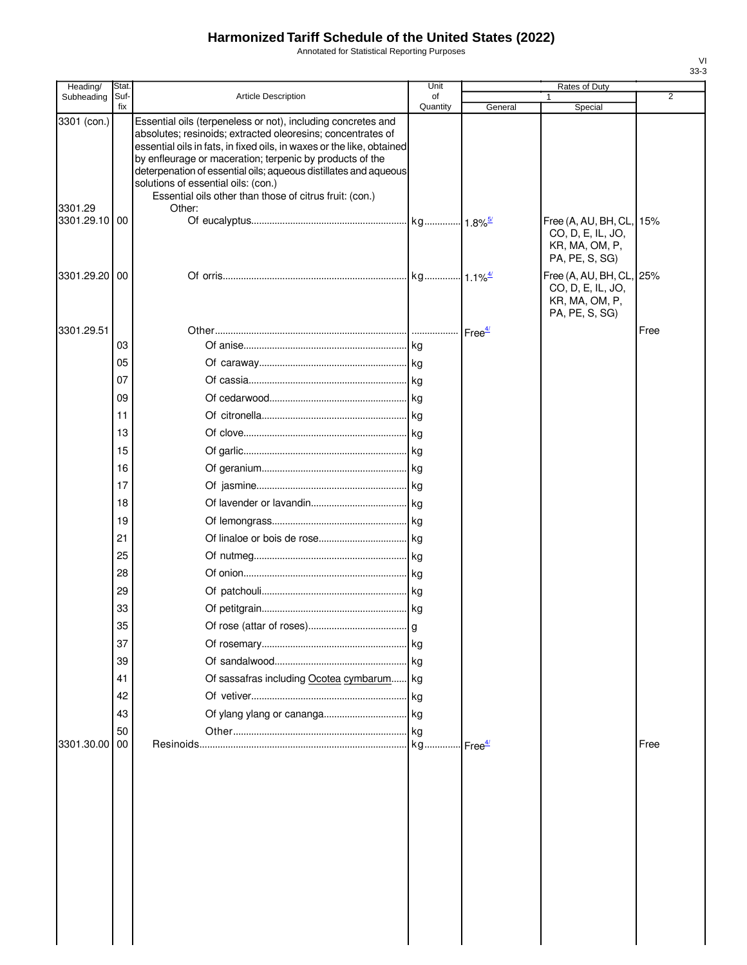Annotated for Statistical Reporting Purposes

| Heading/                             | Stat.       |                                                                                                                                                                                                                                                                                                                                                                                                                                                  | Unit           |         | Rates of Duty                                                                 |                |
|--------------------------------------|-------------|--------------------------------------------------------------------------------------------------------------------------------------------------------------------------------------------------------------------------------------------------------------------------------------------------------------------------------------------------------------------------------------------------------------------------------------------------|----------------|---------|-------------------------------------------------------------------------------|----------------|
| Subheading                           | Suf-<br>fix | <b>Article Description</b>                                                                                                                                                                                                                                                                                                                                                                                                                       | of<br>Quantity | General | Special                                                                       | $\overline{2}$ |
| 3301 (con.)<br>3301.29<br>3301.29.10 | 00          | Essential oils (terpeneless or not), including concretes and<br>absolutes; resinoids; extracted oleoresins; concentrates of<br>essential oils in fats, in fixed oils, in waxes or the like, obtained<br>by enfleurage or maceration; terpenic by products of the<br>deterpenation of essential oils; aqueous distillates and aqueous<br>solutions of essential oils: (con.)<br>Essential oils other than those of citrus fruit: (con.)<br>Other: |                |         | Free (A, AU, BH, CL,<br>CO, D, E, IL, JO,<br>KR, MA, OM, P,<br>PA, PE, S, SG) | 15%            |
| 3301.29.20                           | 00          |                                                                                                                                                                                                                                                                                                                                                                                                                                                  |                |         | Free (A, AU, BH, CL,<br>CO, D, E, IL, JO,<br>KR, MA, OM, P,<br>PA, PE, S, SG) | 25%            |
| 3301.29.51                           |             |                                                                                                                                                                                                                                                                                                                                                                                                                                                  |                |         |                                                                               | Free           |
|                                      | 03          |                                                                                                                                                                                                                                                                                                                                                                                                                                                  |                |         |                                                                               |                |
|                                      | 05          |                                                                                                                                                                                                                                                                                                                                                                                                                                                  |                |         |                                                                               |                |
|                                      | 07          |                                                                                                                                                                                                                                                                                                                                                                                                                                                  |                |         |                                                                               |                |
|                                      | 09          |                                                                                                                                                                                                                                                                                                                                                                                                                                                  |                |         |                                                                               |                |
|                                      | 11          |                                                                                                                                                                                                                                                                                                                                                                                                                                                  |                |         |                                                                               |                |
|                                      | 13          |                                                                                                                                                                                                                                                                                                                                                                                                                                                  |                |         |                                                                               |                |
|                                      | 15          |                                                                                                                                                                                                                                                                                                                                                                                                                                                  |                |         |                                                                               |                |
|                                      | 16          |                                                                                                                                                                                                                                                                                                                                                                                                                                                  |                |         |                                                                               |                |
|                                      | 17          |                                                                                                                                                                                                                                                                                                                                                                                                                                                  |                |         |                                                                               |                |
|                                      | 18          |                                                                                                                                                                                                                                                                                                                                                                                                                                                  |                |         |                                                                               |                |
|                                      | 19          |                                                                                                                                                                                                                                                                                                                                                                                                                                                  |                |         |                                                                               |                |
|                                      | 21<br>25    |                                                                                                                                                                                                                                                                                                                                                                                                                                                  |                |         |                                                                               |                |
|                                      | 28          |                                                                                                                                                                                                                                                                                                                                                                                                                                                  |                |         |                                                                               |                |
|                                      | 29          |                                                                                                                                                                                                                                                                                                                                                                                                                                                  |                |         |                                                                               |                |
|                                      | 33          |                                                                                                                                                                                                                                                                                                                                                                                                                                                  |                |         |                                                                               |                |
|                                      | ვხ          |                                                                                                                                                                                                                                                                                                                                                                                                                                                  |                |         |                                                                               |                |
|                                      | 37          |                                                                                                                                                                                                                                                                                                                                                                                                                                                  |                |         |                                                                               |                |
|                                      | 39          |                                                                                                                                                                                                                                                                                                                                                                                                                                                  |                |         |                                                                               |                |
|                                      | 41          | Of sassafras including Ocotea cymbarum kg                                                                                                                                                                                                                                                                                                                                                                                                        |                |         |                                                                               |                |
|                                      | 42          |                                                                                                                                                                                                                                                                                                                                                                                                                                                  |                |         |                                                                               |                |
|                                      | 43          |                                                                                                                                                                                                                                                                                                                                                                                                                                                  |                |         |                                                                               |                |
|                                      | 50          |                                                                                                                                                                                                                                                                                                                                                                                                                                                  |                |         |                                                                               |                |
| 3301.30.00                           | 00          |                                                                                                                                                                                                                                                                                                                                                                                                                                                  |                |         |                                                                               | Free           |
|                                      |             |                                                                                                                                                                                                                                                                                                                                                                                                                                                  |                |         |                                                                               |                |
|                                      |             |                                                                                                                                                                                                                                                                                                                                                                                                                                                  |                |         |                                                                               |                |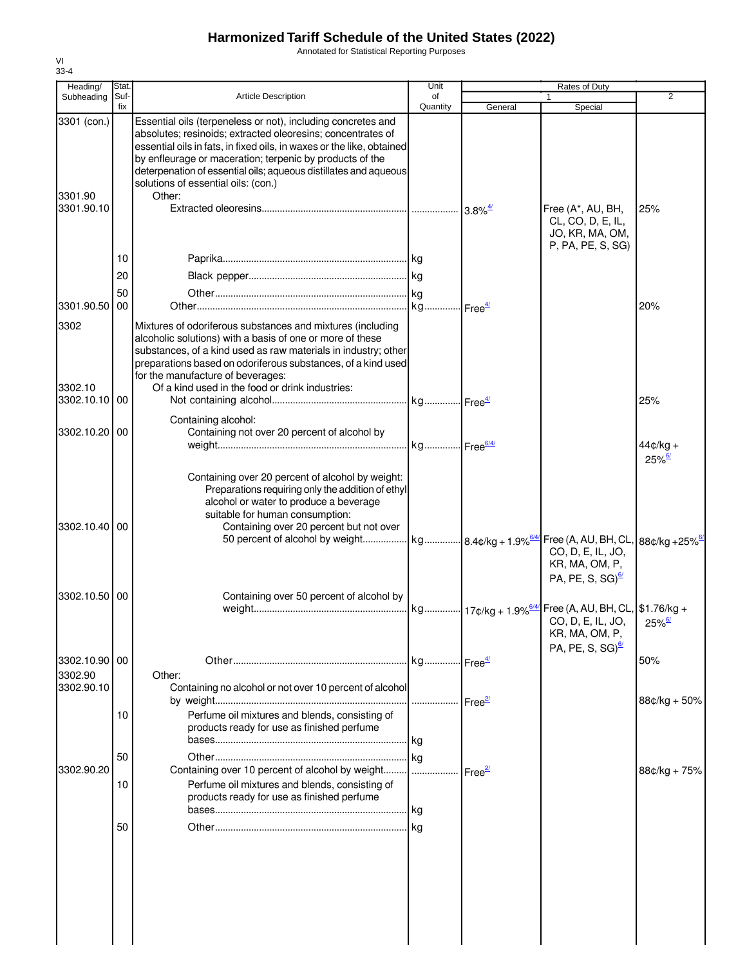Annotated for Statistical Reporting Purposes

| Heading/                         | Stat. |                                                                                                                                                                                                                                                                                                                                                                                       | Unit     |                                             | Rates of Duty                                                                  |                                    |
|----------------------------------|-------|---------------------------------------------------------------------------------------------------------------------------------------------------------------------------------------------------------------------------------------------------------------------------------------------------------------------------------------------------------------------------------------|----------|---------------------------------------------|--------------------------------------------------------------------------------|------------------------------------|
| Subheading                       | Suf-  | <b>Article Description</b>                                                                                                                                                                                                                                                                                                                                                            | of       |                                             | $\mathbf{1}$                                                                   | $\overline{2}$                     |
| 3301 (con.)<br>3301.90           | fix   | Essential oils (terpeneless or not), including concretes and<br>absolutes; resinoids; extracted oleoresins; concentrates of<br>essential oils in fats, in fixed oils, in waxes or the like, obtained<br>by enfleurage or maceration; terpenic by products of the<br>deterpenation of essential oils; aqueous distillates and aqueous<br>solutions of essential oils: (con.)<br>Other: | Quantity | General                                     | Special                                                                        |                                    |
| 3301.90.10                       |       |                                                                                                                                                                                                                                                                                                                                                                                       |          | $3.8\%$ <sup><math>\frac{4}{2}</math></sup> | Free (A*, AU, BH,<br>CL, CO, D, E, IL,<br>JO, KR, MA, OM,<br>P, PA, PE, S, SG) | 25%                                |
|                                  | 10    |                                                                                                                                                                                                                                                                                                                                                                                       |          |                                             |                                                                                |                                    |
|                                  | 20    |                                                                                                                                                                                                                                                                                                                                                                                       |          |                                             |                                                                                |                                    |
| 3301.90.50 00                    | 50    |                                                                                                                                                                                                                                                                                                                                                                                       |          |                                             |                                                                                |                                    |
|                                  |       |                                                                                                                                                                                                                                                                                                                                                                                       |          |                                             |                                                                                | 20%                                |
| 3302<br>3302.10<br>3302.10.10 00 |       | Mixtures of odoriferous substances and mixtures (including<br>alcoholic solutions) with a basis of one or more of these<br>substances, of a kind used as raw materials in industry; other<br>preparations based on odoriferous substances, of a kind used<br>for the manufacture of beverages:<br>Of a kind used in the food or drink industries:                                     |          |                                             |                                                                                | 25%                                |
|                                  |       | Containing alcohol:                                                                                                                                                                                                                                                                                                                                                                   |          |                                             |                                                                                |                                    |
| 3302.10.20 00                    |       | Containing not over 20 percent of alcohol by                                                                                                                                                                                                                                                                                                                                          |          |                                             |                                                                                | $44¢/kg +$<br>$25\%$ <sup>6/</sup> |
| 3302.10.40 00                    |       | Containing over 20 percent of alcohol by weight:<br>Preparations requiring only the addition of ethyl<br>alcohol or water to produce a beverage<br>suitable for human consumption:<br>Containing over 20 percent but not over                                                                                                                                                         |          |                                             | CO, D, E, IL, JO,<br>KR, MA, OM, P,<br>PA, PE, S, SG) $\frac{67}{2}$           |                                    |
| 3302.10.50 00                    |       | Containing over 50 percent of alcohol by                                                                                                                                                                                                                                                                                                                                              |          |                                             |                                                                                |                                    |
|                                  |       |                                                                                                                                                                                                                                                                                                                                                                                       |          |                                             | CO, D, E, IL, JO,<br>KR, MA, OM, P,<br>PA, PE, S, SG) $\frac{67}{2}$           | $25\%$                             |
| 3302.10.90 00                    |       |                                                                                                                                                                                                                                                                                                                                                                                       |          |                                             |                                                                                | 50%                                |
| 3302.90<br>3302.90.10            |       | Other:<br>Containing no alcohol or not over 10 percent of alcohol                                                                                                                                                                                                                                                                                                                     |          |                                             |                                                                                | 88¢/kg + 50%                       |
|                                  | 10    | Perfume oil mixtures and blends, consisting of<br>products ready for use as finished perfume                                                                                                                                                                                                                                                                                          |          |                                             |                                                                                |                                    |
|                                  | 50    |                                                                                                                                                                                                                                                                                                                                                                                       |          |                                             |                                                                                |                                    |
| 3302.90.20                       |       | Containing over 10 percent of alcohol by weight    Free <sup>2/</sup>                                                                                                                                                                                                                                                                                                                 |          |                                             |                                                                                | $88¢/kg + 75%$                     |
|                                  | 10    | Perfume oil mixtures and blends, consisting of<br>products ready for use as finished perfume                                                                                                                                                                                                                                                                                          |          |                                             |                                                                                |                                    |
|                                  | 50    |                                                                                                                                                                                                                                                                                                                                                                                       |          |                                             |                                                                                |                                    |
|                                  |       |                                                                                                                                                                                                                                                                                                                                                                                       |          |                                             |                                                                                |                                    |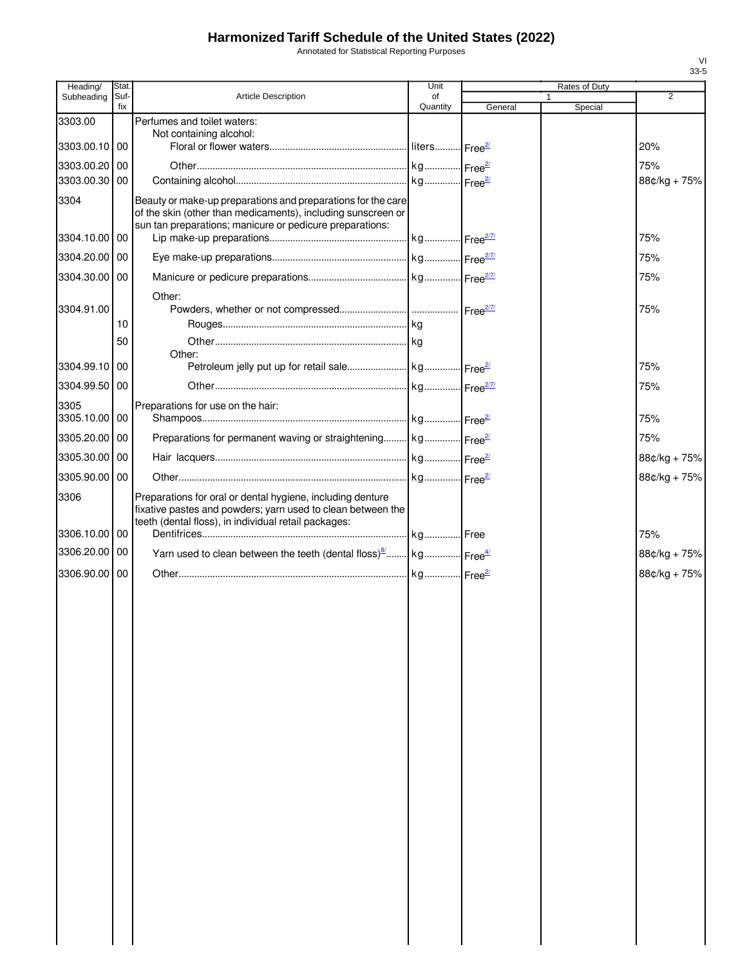Annotated for Statistical Reporting Purposes

| Heading/              | <b>Stat</b> |                                                                                                                                                                                   | Unit           |         | Rates of Duty           |              |
|-----------------------|-------------|-----------------------------------------------------------------------------------------------------------------------------------------------------------------------------------|----------------|---------|-------------------------|--------------|
| Subheading            | Suf-<br>fix | <b>Article Description</b>                                                                                                                                                        | of<br>Quantity | General | $\mathbf{1}$<br>Special | 2            |
| 3303.00               |             | Perfumes and toilet waters:                                                                                                                                                       |                |         |                         |              |
| 3303.00.10 00         |             | Not containing alcohol:                                                                                                                                                           |                |         |                         | 20%          |
| 3303.00.20 00         |             |                                                                                                                                                                                   |                |         |                         | 75%          |
| 3303.00.30 00         |             |                                                                                                                                                                                   |                |         |                         | 88¢/kg + 75% |
| 3304                  |             | Beauty or make-up preparations and preparations for the care<br>of the skin (other than medicaments), including sunscreen or                                                      |                |         |                         |              |
| 3304.10.00 00         |             | sun tan preparations; manicure or pedicure preparations:                                                                                                                          |                |         |                         | 75%          |
| 3304.20.00 00         |             |                                                                                                                                                                                   |                |         |                         | 75%          |
| 3304.30.00 00         |             |                                                                                                                                                                                   |                |         |                         | 75%          |
| 3304.91.00            | 10          | Other:                                                                                                                                                                            |                |         |                         | 75%          |
|                       |             |                                                                                                                                                                                   |                |         |                         |              |
|                       | 50          | Other:                                                                                                                                                                            |                |         |                         |              |
| 3304.99.10 00         |             |                                                                                                                                                                                   |                |         |                         | 75%          |
| 3304.99.50 00         |             |                                                                                                                                                                                   |                |         |                         | 75%          |
| 3305<br>3305.10.00 00 |             | Preparations for use on the hair:                                                                                                                                                 |                |         |                         | 75%          |
| 3305.20.00 00         |             | Preparations for permanent waving or straightening kg Free <sup>21</sup>                                                                                                          |                |         |                         | 75%          |
| 3305.30.00 00         |             |                                                                                                                                                                                   |                |         |                         | 88¢/kg + 75% |
| 3305.90.00 00         |             |                                                                                                                                                                                   |                |         |                         | 88¢/kg + 75% |
| 3306                  |             | Preparations for oral or dental hygiene, including denture<br>fixative pastes and powders; yarn used to clean between the<br>teeth (dental floss), in individual retail packages: |                |         |                         |              |
| 3306.10.00 00         |             |                                                                                                                                                                                   |                |         |                         | 75%          |
| 3306.20.00 00         |             | Yarn used to clean between the teeth (dental floss) $\frac{8}{2}$ kg Free <sup>4/</sup>                                                                                           |                |         |                         | 88¢/kg + 75% |
| 3306.90.00 00         |             |                                                                                                                                                                                   |                |         |                         | 88¢/kg + 75% |
|                       |             |                                                                                                                                                                                   |                |         |                         |              |
|                       |             |                                                                                                                                                                                   |                |         |                         |              |
|                       |             |                                                                                                                                                                                   |                |         |                         |              |
|                       |             |                                                                                                                                                                                   |                |         |                         |              |
|                       |             |                                                                                                                                                                                   |                |         |                         |              |
|                       |             |                                                                                                                                                                                   |                |         |                         |              |
|                       |             |                                                                                                                                                                                   |                |         |                         |              |
|                       |             |                                                                                                                                                                                   |                |         |                         |              |
|                       |             |                                                                                                                                                                                   |                |         |                         |              |
|                       |             |                                                                                                                                                                                   |                |         |                         |              |
|                       |             |                                                                                                                                                                                   |                |         |                         |              |
|                       |             |                                                                                                                                                                                   |                |         |                         |              |
|                       |             |                                                                                                                                                                                   |                |         |                         |              |
|                       |             |                                                                                                                                                                                   |                |         |                         |              |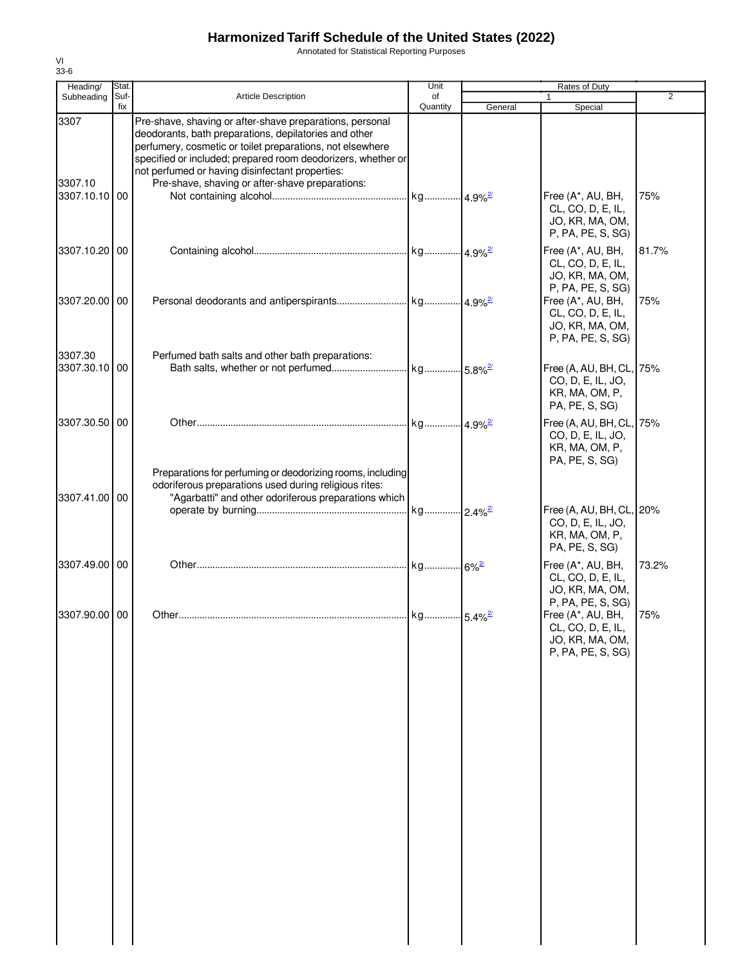Annotated for Statistical Reporting Purposes

| Heading/                 | Stat.       |                                                                                                                                                                                                                                                                                                                                                      | Unit           |         | Rates of Duty                                                                     |                |
|--------------------------|-------------|------------------------------------------------------------------------------------------------------------------------------------------------------------------------------------------------------------------------------------------------------------------------------------------------------------------------------------------------------|----------------|---------|-----------------------------------------------------------------------------------|----------------|
| Subheading               | Suf-<br>fix | Article Description                                                                                                                                                                                                                                                                                                                                  | of<br>Quantity | General | Special                                                                           | $\overline{2}$ |
| 3307<br>3307.10          |             | Pre-shave, shaving or after-shave preparations, personal<br>deodorants, bath preparations, depilatories and other<br>perfumery, cosmetic or toilet preparations, not elsewhere<br>specified or included; prepared room deodorizers, whether or<br>not perfumed or having disinfectant properties:<br>Pre-shave, shaving or after-shave preparations: |                |         |                                                                                   |                |
| 3307.10.10 00            |             |                                                                                                                                                                                                                                                                                                                                                      |                |         | Free (A*, AU, BH,<br>CL, CO, D, E, IL,<br>JO, KR, MA, OM,<br>P, PA, PE, S, SG)    | 75%            |
| 3307.10.20 00            |             |                                                                                                                                                                                                                                                                                                                                                      |                |         | Free (A*, AU, BH,<br>CL, CO, D, E, IL,<br>JO, KR, MA, OM,<br>P, PA, PE, S, SG)    | 81.7%          |
| 3307.20.00               | 00          |                                                                                                                                                                                                                                                                                                                                                      |                |         | Free (A*, AU, BH,<br>CL, CO, D, E, IL,<br>JO, KR, MA, OM,<br>P, PA, PE, S, SG)    | 75%            |
| 3307.30<br>3307.30.10 00 |             | Perfumed bath salts and other bath preparations:                                                                                                                                                                                                                                                                                                     |                |         | Free (A, AU, BH, CL, 75%<br>CO, D, E, IL, JO,<br>KR, MA, OM, P,<br>PA, PE, S, SG) |                |
| 3307.30.50 00            |             | Preparations for perfuming or deodorizing rooms, including                                                                                                                                                                                                                                                                                           |                |         | Free (A, AU, BH, CL, 75%<br>CO, D, E, IL, JO,<br>KR, MA, OM, P,<br>PA, PE, S, SG) |                |
| 3307.41.00 00            |             | odoriferous preparations used during religious rites:<br>"Agarbatti" and other odoriferous preparations which                                                                                                                                                                                                                                        |                |         | Free (A, AU, BH, CL, 20%<br>CO, D, E, IL, JO,<br>KR, MA, OM, P,<br>PA, PE, S, SG) |                |
| 3307.49.00 00            |             |                                                                                                                                                                                                                                                                                                                                                      |                |         | Free (A*, AU, BH,<br>CL, CO, D, E, IL,<br>JO, KR, MA, OM,<br>P, PA, PE, S, SG)    | 73.2%          |
| 3307.90.00 00            |             |                                                                                                                                                                                                                                                                                                                                                      |                |         | Free (A*, AU, BH,<br>CL, CO, D, E, IL,<br>JO, KR, MA, OM,<br>P, PA, PE, S, SG)    | 75%            |
|                          |             |                                                                                                                                                                                                                                                                                                                                                      |                |         |                                                                                   |                |
|                          |             |                                                                                                                                                                                                                                                                                                                                                      |                |         |                                                                                   |                |
|                          |             |                                                                                                                                                                                                                                                                                                                                                      |                |         |                                                                                   |                |
|                          |             |                                                                                                                                                                                                                                                                                                                                                      |                |         |                                                                                   |                |